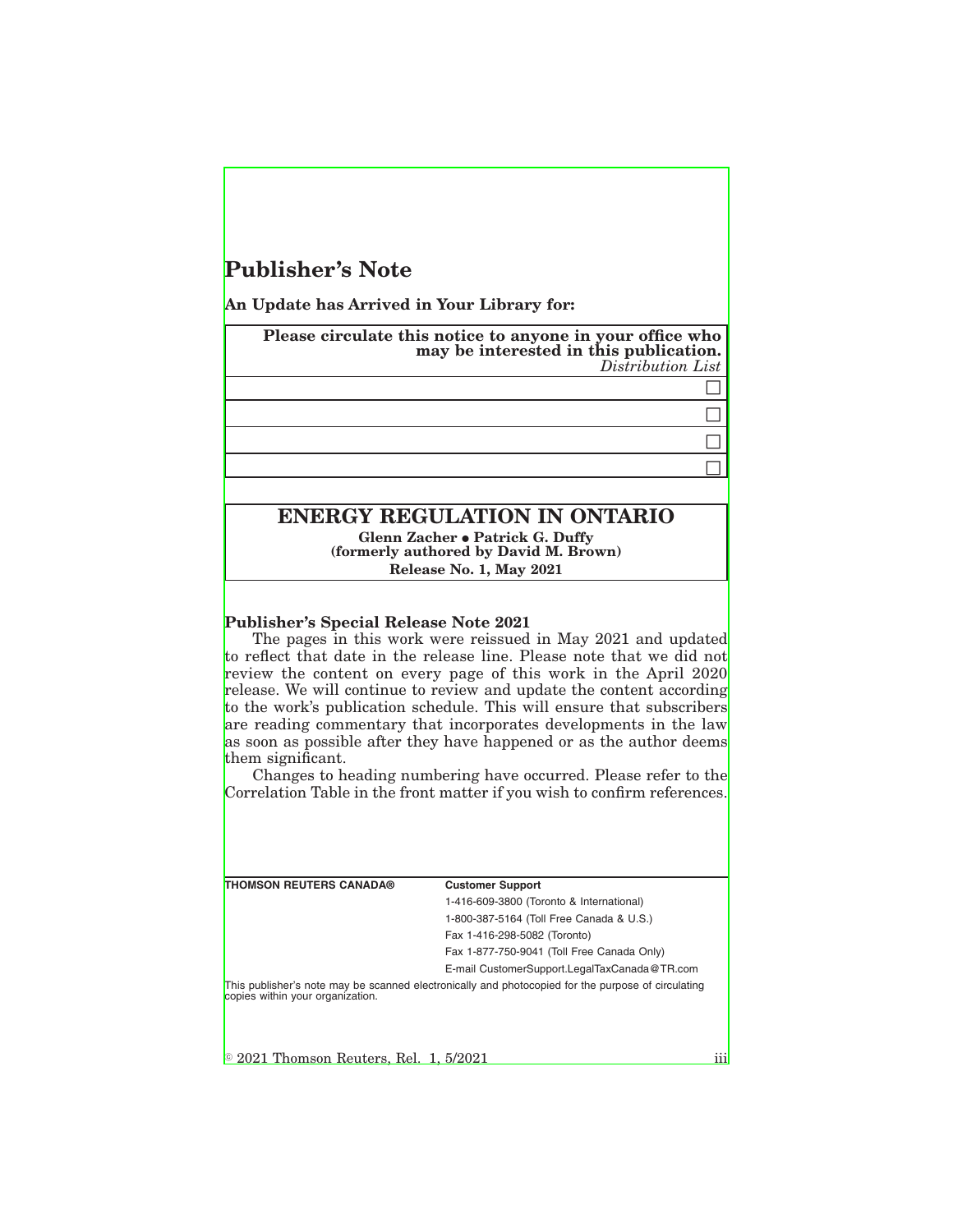# **Publisher's Note**

**An Update has Arrived in Your Library for:**

**Please circulate this notice to anyone in your office who may be interested in this publication.** *Distribution List*  $\Box$ 

## **ENERGY REGULATION IN ONTARIO Glenn Zacher • Patrick G. Duffy (formerly authored by David M. Brown) Release No. 1, May 2021**

**Publisher's Special Release Note 2021** The pages in this work were reissued in May 2021 and updated to reflect that date in the release line. Please note that we did not review the content on every page of this work in the April 2020 release. We will continue to review and update the content according to the work's publication schedule. This will ensure that subscribers are reading commentary that incorporates developments in the law as soon as possible after they have happened or as the author deems them significant.

Changes to heading numbering have occurred. Please refer to the Correlation Table in the front matter if you wish to confirm references.

**THOMSON REUTERS CANADA® Customer Support**

1-416-609-3800 (Toronto & International) 1-800-387-5164 (Toll Free Canada & U.S.) Fax 1-416-298-5082 (Toronto) Fax 1-877-750-9041 (Toll Free Canada Only)

E-mail CustomerSupport.LegalTaxCanada@TR.com

This publisher's note may be scanned electronically and photocopied for the purpose of circulating copies within your organization.

K 2021 Thomson Reuters, Rel. 1, 5/2021 iii

 $\Box$  $\Box$  $\Box$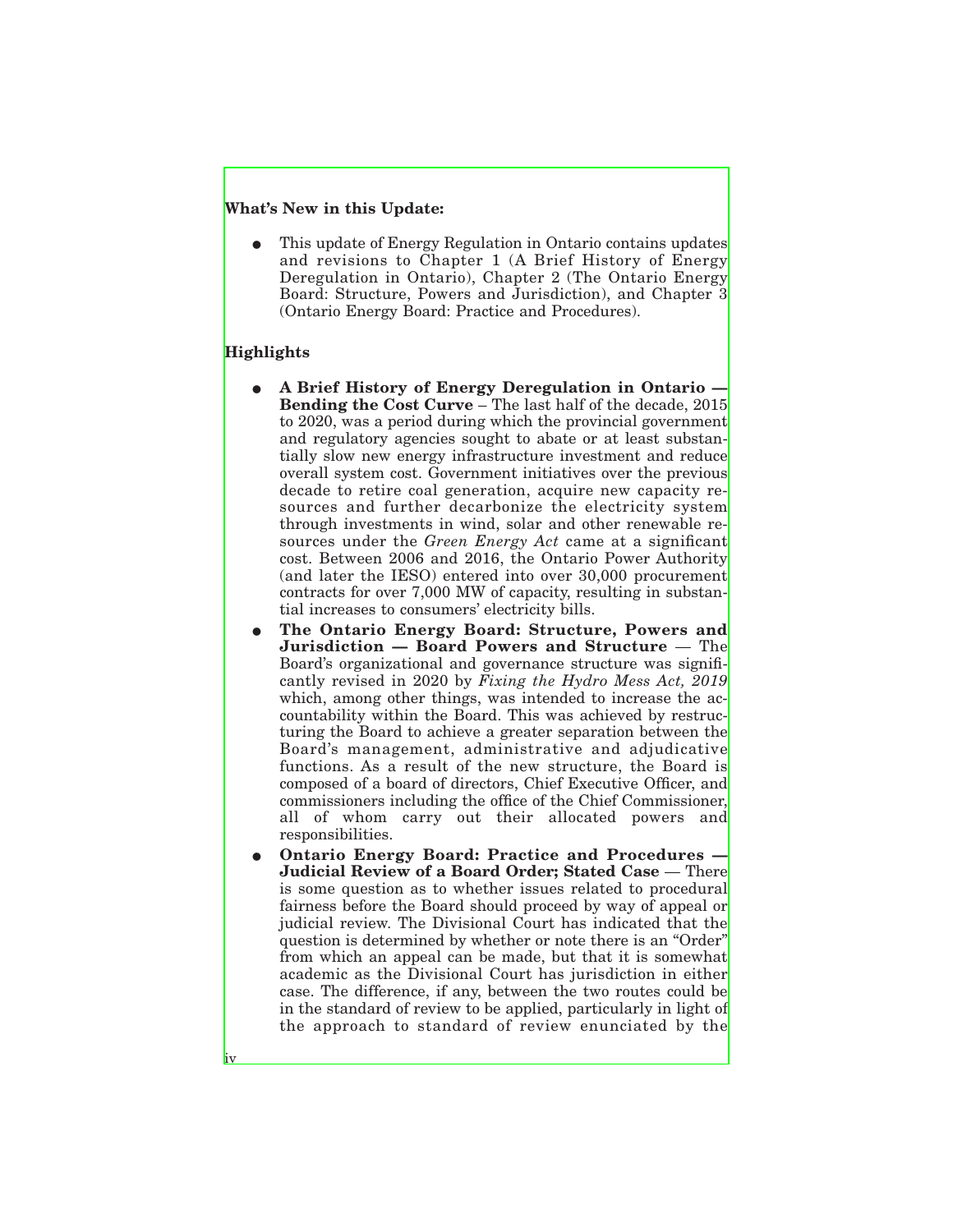### **What's New in this Update:**

This update of Energy Regulation in Ontario contains updates and revisions to Chapter 1 (A Brief History of Energy Deregulation in Ontario), Chapter 2 (The Ontario Energy Board: Structure, Powers and Jurisdiction), and Chapter 3 (Ontario Energy Board: Practice and Procedures).

### **Highlights**

iv

- E **A Brief History of Energy Deregulation in Ontario — Bending the Cost Curve** – The last half of the decade, 2015 to 2020, was a period during which the provincial government and regulatory agencies sought to abate or at least substantially slow new energy infrastructure investment and reduce overall system cost. Government initiatives over the previous decade to retire coal generation, acquire new capacity resources and further decarbonize the electricity system through investments in wind, solar and other renewable resources under the *Green Energy Act* came at a significant cost. Between 2006 and 2016, the Ontario Power Authority (and later the IESO) entered into over 30,000 procurement contracts for over 7,000 MW of capacity, resulting in substantial increases to consumers' electricity bills.
- The Ontario Energy Board: Structure, Powers and **Jurisdiction — Board Powers and Structure** — The Board's organizational and governance structure was significantly revised in 2020 by *Fixing the Hydro Mess Act, 2019* which, among other things, was intended to increase the accountability within the Board. This was achieved by restructuring the Board to achieve a greater separation between the Board's management, administrative and adjudicative functions. As a result of the new structure, the Board is composed of a board of directors, Chief Executive Officer, and commissioners including the office of the Chief Commissioner, all of whom carry out their allocated powers and responsibilities.
- **Ontario Energy Board: Practice and Procedures -Judicial Review of a Board Order; Stated Case** — There is some question as to whether issues related to procedural fairness before the Board should proceed by way of appeal or judicial review. The Divisional Court has indicated that the question is determined by whether or note there is an "Order" from which an appeal can be made, but that it is somewhat academic as the Divisional Court has jurisdiction in either case. The difference, if any, between the two routes could be in the standard of review to be applied, particularly in light of the approach to standard of review enunciated by the